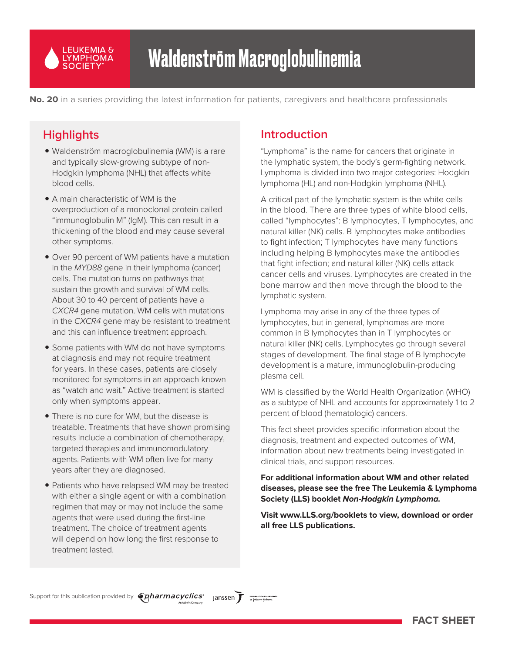

**No. 20** in a series providing the latest information for patients, caregivers and healthcare professionals

# **Highlights**

- Waldenström macroglobulinemia (WM) is a rare and typically slow-growing subtype of non-Hodgkin lymphoma (NHL) that affects white blood cells.
- A main characteristic of WM is the overproduction of a monoclonal protein called "immunoglobulin M" (IgM). This can result in a thickening of the blood and may cause several other symptoms.
- Over 90 percent of WM patients have a mutation in the MYD88 gene in their lymphoma (cancer) cells. The mutation turns on pathways that sustain the growth and survival of WM cells. About 30 to 40 percent of patients have a CXCR4 gene mutation. WM cells with mutations in the CXCR4 gene may be resistant to treatment and this can influence treatment approach.
- Some patients with WM do not have symptoms at diagnosis and may not require treatment for years. In these cases, patients are closely monitored for symptoms in an approach known as "watch and wait." Active treatment is started only when symptoms appear.
- There is no cure for WM, but the disease is treatable. Treatments that have shown promising results include a combination of chemotherapy, targeted therapies and immunomodulatory agents. Patients with WM often live for many years after they are diagnosed.
- Patients who have relapsed WM may be treated with either a single agent or with a combination regimen that may or may not include the same agents that were used during the first-line treatment. The choice of treatment agents will depend on how long the first response to treatment lasted.

# **Introduction**

"Lymphoma" is the name for cancers that originate in the lymphatic system, the body's germ-fighting network. Lymphoma is divided into two major categories: Hodgkin lymphoma (HL) and non-Hodgkin lymphoma (NHL).

A critical part of the lymphatic system is the white cells in the blood. There are three types of white blood cells, called "lymphocytes": B lymphocytes, T lymphocytes, and natural killer (NK) cells. B lymphocytes make antibodies to fight infection; T lymphocytes have many functions including helping B lymphocytes make the antibodies that fight infection; and natural killer (NK) cells attack cancer cells and viruses. Lymphocytes are created in the bone marrow and then move through the blood to the lymphatic system.

Lymphoma may arise in any of the three types of lymphocytes, but in general, lymphomas are more common in B lymphocytes than in T lymphocytes or natural killer (NK) cells. Lymphocytes go through several stages of development. The final stage of B lymphocyte development is a mature, immunoglobulin-producing plasma cell.

WM is classified by the World Health Organization (WHO) as a subtype of NHL and accounts for approximately 1 to 2 percent of blood (hematologic) cancers.

This fact sheet provides specific information about the diagnosis, treatment and expected outcomes of WM, information about new treatments being investigated in clinical trials, and support resources.

#### **For additional information about WM and other related diseases, please see the free The Leukemia & Lymphoma Society (LLS) booklet Non-Hodgkin Lymphoma.**

**Visit www.LLS.org/booklets to view, download or order all free LLS publications.**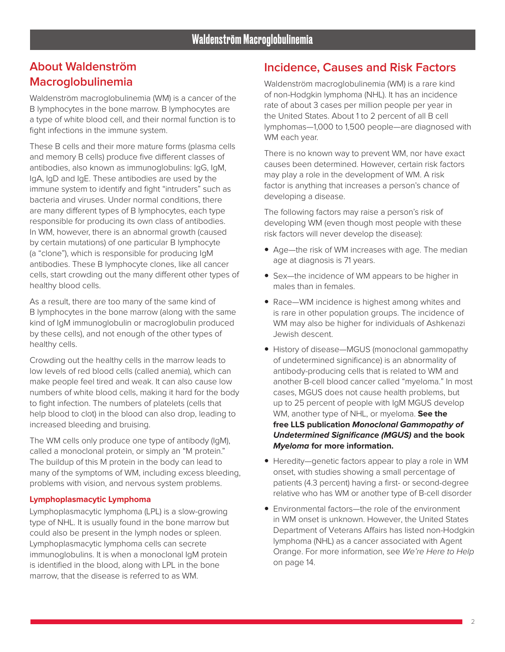Waldenström macroglobulinemia (WM) is a cancer of the B lymphocytes in the bone marrow. B lymphocytes are a type of white blood cell, and their normal function is to fight infections in the immune system.

These B cells and their more mature forms (plasma cells and memory B cells) produce five different classes of antibodies, also known as immunoglobulins: IgG, IgM, IgA, IgD and IgE. These antibodies are used by the immune system to identify and fight "intruders" such as bacteria and viruses. Under normal conditions, there are many different types of B lymphocytes, each type responsible for producing its own class of antibodies. In WM, however, there is an abnormal growth (caused by certain mutations) of one particular B lymphocyte (a "clone"), which is responsible for producing IgM antibodies. These B lymphocyte clones, like all cancer cells, start crowding out the many different other types of healthy blood cells.

As a result, there are too many of the same kind of B lymphocytes in the bone marrow (along with the same kind of IgM immunoglobulin or macroglobulin produced by these cells), and not enough of the other types of healthy cells.

Crowding out the healthy cells in the marrow leads to low levels of red blood cells (called anemia), which can make people feel tired and weak. It can also cause low numbers of white blood cells, making it hard for the body to fight infection. The numbers of platelets (cells that help blood to clot) in the blood can also drop, leading to increased bleeding and bruising.

The WM cells only produce one type of antibody (IgM), called a monoclonal protein, or simply an "M protein." The buildup of this M protein in the body can lead to many of the symptoms of WM, including excess bleeding, problems with vision, and nervous system problems.

#### **Lymphoplasmacytic Lymphoma**

Lymphoplasmacytic lymphoma (LPL) is a slow-growing type of NHL. It is usually found in the bone marrow but could also be present in the lymph nodes or spleen. Lymphoplasmacytic lymphoma cells can secrete immunoglobulins. It is when a monoclonal IgM protein is identified in the blood, along with LPL in the bone marrow, that the disease is referred to as WM.

#### **Incidence, Causes and Risk Factors**

Waldenström macroglobulinemia (WM) is a rare kind of non-Hodgkin lymphoma (NHL). It has an incidence rate of about 3 cases per million people per year in the United States. About 1 to 2 percent of all B cell lymphomas—1,000 to 1,500 people—are diagnosed with WM each year.

There is no known way to prevent WM, nor have exact causes been determined. However, certain risk factors may play a role in the development of WM. A risk factor is anything that increases a person's chance of developing a disease.

The following factors may raise a person's risk of developing WM (even though most people with these risk factors will never develop the disease):

- Age—the risk of WM increases with age. The median age at diagnosis is 71 years.
- Sex-the incidence of WM appears to be higher in males than in females.
- Race—WM incidence is highest among whites and is rare in other population groups. The incidence of WM may also be higher for individuals of Ashkenazi Jewish descent.
- History of disease—MGUS (monoclonal gammopathy of undetermined significance) is an abnormality of antibody-producing cells that is related to WM and another B-cell blood cancer called "myeloma." In most cases, MGUS does not cause health problems, but up to 25 percent of people with IgM MGUS develop WM, another type of NHL, or myeloma. **See the free LLS publication Monoclonal Gammopathy of Undetermined Significance (MGUS) and the book Myeloma for more information.**
- Heredity—genetic factors appear to play a role in WM onset, with studies showing a small percentage of patients (4.3 percent) having a first- or second-degree relative who has WM or another type of B-cell disorder
- $\bullet$  Environmental factors—the role of the environment in WM onset is unknown. However, the United States Department of Veterans Affairs has listed non-Hodgkin lymphoma (NHL) as a cancer associated with Agent Orange. For more information, see We're Here to Help on page 14.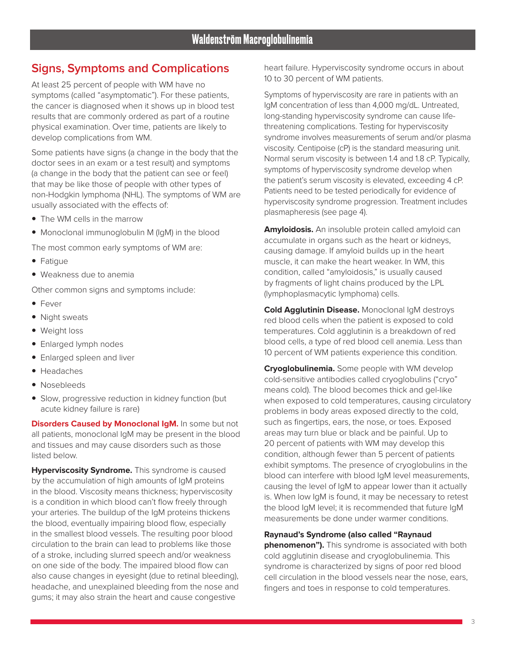# **Signs, Symptoms and Complications**

At least 25 percent of people with WM have no symptoms (called "asymptomatic"). For these patients, the cancer is diagnosed when it shows up in blood test results that are commonly ordered as part of a routine physical examination. Over time, patients are likely to develop complications from WM.

Some patients have signs (a change in the body that the doctor sees in an exam or a test result) and symptoms (a change in the body that the patient can see or feel) that may be like those of people with other types of non-Hodgkin lymphoma (NHL). The symptoms of WM are usually associated with the effects of:

- The WM cells in the marrow
- Monoclonal immunoglobulin M (IgM) in the blood

The most common early symptoms of WM are:

- Fatigue
- Weakness due to anemia

Other common signs and symptoms include:

- Fever
- Night sweats
- Weight loss
- Enlarged lymph nodes
- Enlarged spleen and liver
- Headaches
- Nosebleeds
- Slow, progressive reduction in kidney function (but acute kidney failure is rare)

**Disorders Caused by Monoclonal IgM.** In some but not all patients, monoclonal IgM may be present in the blood and tissues and may cause disorders such as those listed below.

**Hyperviscosity Syndrome.** This syndrome is caused by the accumulation of high amounts of IgM proteins in the blood. Viscosity means thickness; hyperviscosity is a condition in which blood can't flow freely through your arteries. The buildup of the IgM proteins thickens the blood, eventually impairing blood flow, especially in the smallest blood vessels. The resulting poor blood circulation to the brain can lead to problems like those of a stroke, including slurred speech and/or weakness on one side of the body. The impaired blood flow can also cause changes in eyesight (due to retinal bleeding), headache, and unexplained bleeding from the nose and gums; it may also strain the heart and cause congestive

heart failure. Hyperviscosity syndrome occurs in about 10 to 30 percent of WM patients.

Symptoms of hyperviscosity are rare in patients with an IgM concentration of less than 4,000 mg/dL. Untreated, long-standing hyperviscosity syndrome can cause lifethreatening complications. Testing for hyperviscosity syndrome involves measurements of serum and/or plasma viscosity. Centipoise (cP) is the standard measuring unit. Normal serum viscosity is between 1.4 and 1.8 cP. Typically, symptoms of hyperviscosity syndrome develop when the patient's serum viscosity is elevated, exceeding 4 cP. Patients need to be tested periodically for evidence of hyperviscosity syndrome progression. Treatment includes plasmapheresis (see page 4).

**Amyloidosis.** An insoluble protein called amyloid can accumulate in organs such as the heart or kidneys, causing damage. If amyloid builds up in the heart muscle, it can make the heart weaker. In WM, this condition, called "amyloidosis," is usually caused by fragments of light chains produced by the LPL (lymphoplasmacytic lymphoma) cells.

**Cold Agglutinin Disease.** Monoclonal IgM destroys red blood cells when the patient is exposed to cold temperatures. Cold agglutinin is a breakdown of red blood cells, a type of red blood cell anemia. Less than 10 percent of WM patients experience this condition.

**Cryoglobulinemia.** Some people with WM develop cold-sensitive antibodies called cryoglobulins ("cryo" means cold). The blood becomes thick and gel-like when exposed to cold temperatures, causing circulatory problems in body areas exposed directly to the cold, such as fingertips, ears, the nose, or toes. Exposed areas may turn blue or black and be painful. Up to 20 percent of patients with WM may develop this condition, although fewer than 5 percent of patients exhibit symptoms. The presence of cryoglobulins in the blood can interfere with blood IgM level measurements, causing the level of IgM to appear lower than it actually is. When low IgM is found, it may be necessary to retest the blood IgM level; it is recommended that future IgM measurements be done under warmer conditions.

#### **Raynaud's Syndrome (also called "Raynaud**

**phenomenon").** This syndrome is associated with both cold agglutinin disease and cryoglobulinemia. This syndrome is characterized by signs of poor red blood cell circulation in the blood vessels near the nose, ears, fingers and toes in response to cold temperatures.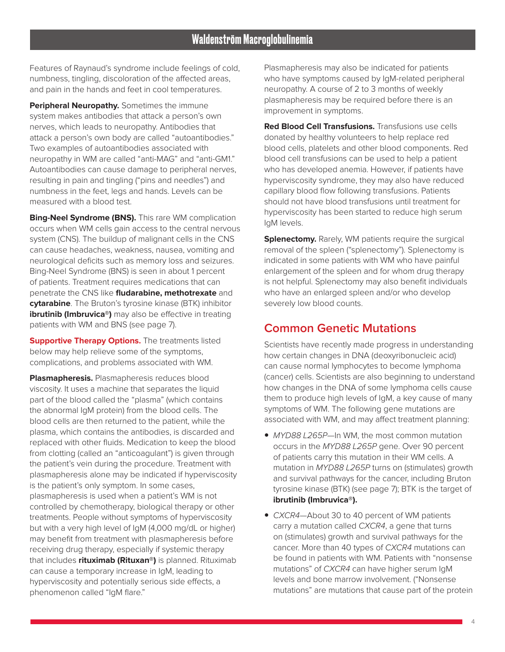Features of Raynaud's syndrome include feelings of cold, numbness, tingling, discoloration of the affected areas, and pain in the hands and feet in cool temperatures.

**Peripheral Neuropathy.** Sometimes the immune system makes antibodies that attack a person's own nerves, which leads to neuropathy. Antibodies that attack a person's own body are called "autoantibodies." Two examples of autoantibodies associated with neuropathy in WM are called "anti-MAG" and "anti-GM1." Autoantibodies can cause damage to peripheral nerves, resulting in pain and tingling ("pins and needles") and numbness in the feet, legs and hands. Levels can be measured with a blood test.

**Bing-Neel Syndrome (BNS).** This rare WM complication occurs when WM cells gain access to the central nervous system (CNS). The buildup of malignant cells in the CNS can cause headaches, weakness, nausea, vomiting and neurological deficits such as memory loss and seizures. Bing-Neel Syndrome (BNS) is seen in about 1 percent of patients. Treatment requires medications that can penetrate the CNS like **fludarabine, methotrexate** and **cytarabine**. The Bruton's tyrosine kinase (BTK) inhibitor **ibrutinib (Imbruvica®)** may also be effective in treating patients with WM and BNS (see page 7).

**Supportive Therapy Options.** The treatments listed below may help relieve some of the symptoms, complications, and problems associated with WM.

**Plasmapheresis.** Plasmapheresis reduces blood viscosity. It uses a machine that separates the liquid part of the blood called the "plasma" (which contains the abnormal IgM protein) from the blood cells. The blood cells are then returned to the patient, while the plasma, which contains the antibodies, is discarded and replaced with other fluids. Medication to keep the blood from clotting (called an "anticoagulant") is given through the patient's vein during the procedure. Treatment with plasmapheresis alone may be indicated if hyperviscosity is the patient's only symptom. In some cases, plasmapheresis is used when a patient's WM is not controlled by chemotherapy, biological therapy or other treatments. People without symptoms of hyperviscosity but with a very high level of IgM (4,000 mg/dL or higher) may benefit from treatment with plasmapheresis before receiving drug therapy, especially if systemic therapy that includes **rituximab (Rituxan®)** is planned. Rituximab can cause a temporary increase in IgM, leading to hyperviscosity and potentially serious side effects, a phenomenon called "IgM flare."

Plasmapheresis may also be indicated for patients who have symptoms caused by IgM-related peripheral neuropathy. A course of 2 to 3 months of weekly plasmapheresis may be required before there is an improvement in symptoms.

**Red Blood Cell Transfusions.** Transfusions use cells donated by healthy volunteers to help replace red blood cells, platelets and other blood components. Red blood cell transfusions can be used to help a patient who has developed anemia. However, if patients have hyperviscosity syndrome, they may also have reduced capillary blood flow following transfusions. Patients should not have blood transfusions until treatment for hyperviscosity has been started to reduce high serum IgM levels.

**Splenectomy.** Rarely, WM patients require the surgical removal of the spleen ("splenectomy"). Splenectomy is indicated in some patients with WM who have painful enlargement of the spleen and for whom drug therapy is not helpful. Splenectomy may also benefit individuals who have an enlarged spleen and/or who develop severely low blood counts.

### **Common Genetic Mutations**

Scientists have recently made progress in understanding how certain changes in DNA (deoxyribonucleic acid) can cause normal lymphocytes to become lymphoma (cancer) cells. Scientists are also beginning to understand how changes in the DNA of some lymphoma cells cause them to produce high levels of IgM, a key cause of many symptoms of WM. The following gene mutations are associated with WM, and may affect treatment planning:

- MYD88 L265P-In WM, the most common mutation occurs in the MYD88 L265P gene. Over 90 percent of patients carry this mutation in their WM cells. A mutation in MYD88 L265P turns on (stimulates) growth and survival pathways for the cancer, including Bruton tyrosine kinase (BTK) (see page 7); BTK is the target of **ibrutinib (Imbruvica®).**
- CXCR4-About 30 to 40 percent of WM patients carry a mutation called CXCR4, a gene that turns on (stimulates) growth and survival pathways for the cancer. More than 40 types of CXCR4 mutations can be found in patients with WM. Patients with "nonsense mutations" of CXCR4 can have higher serum IgM levels and bone marrow involvement. ("Nonsense mutations" are mutations that cause part of the protein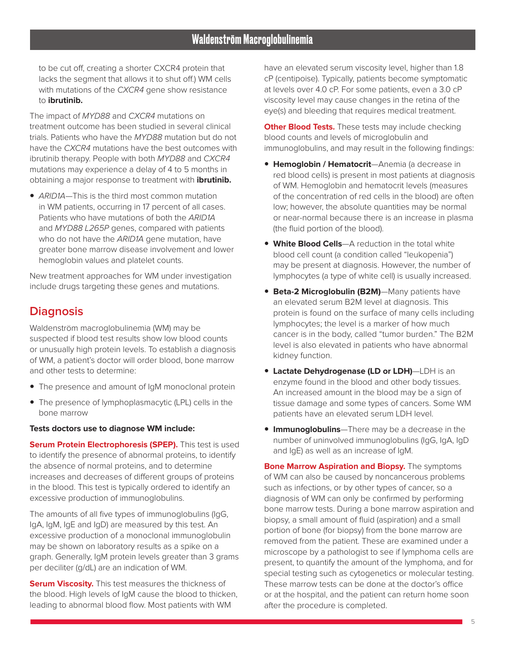to be cut off, creating a shorter CXCR4 protein that lacks the segment that allows it to shut off.) WM cells with mutations of the CXCR4 gene show resistance to **ibrutinib.**

The impact of MYD88 and CXCR4 mutations on treatment outcome has been studied in several clinical trials. Patients who have the MYD88 mutation but do not have the CXCR4 mutations have the best outcomes with ibrutinib therapy. People with both MYD88 and CXCR4 mutations may experience a delay of 4 to 5 months in obtaining a major response to treatment with **ibrutinib.** 

• ARID1A—This is the third most common mutation in WM patients, occurring in 17 percent of all cases. Patients who have mutations of both the ARID1A and MYD88 L265P genes, compared with patients who do not have the ARID1A gene mutation, have greater bone marrow disease involvement and lower hemoglobin values and platelet counts.

New treatment approaches for WM under investigation include drugs targeting these genes and mutations.

### **Diagnosis**

Waldenström macroglobulinemia (WM) may be suspected if blood test results show low blood counts or unusually high protein levels. To establish a diagnosis of WM, a patient's doctor will order blood, bone marrow and other tests to determine:

- The presence and amount of IgM monoclonal protein
- The presence of lymphoplasmacytic (LPL) cells in the bone marrow

#### **Tests doctors use to diagnose WM include:**

**Serum Protein Electrophoresis (SPEP).** This test is used to identify the presence of abnormal proteins, to identify the absence of normal proteins, and to determine increases and decreases of different groups of proteins in the blood. This test is typically ordered to identify an excessive production of immunoglobulins.

The amounts of all five types of immunoglobulins (IgG, IgA, IgM, IgE and IgD) are measured by this test. An excessive production of a monoclonal immunoglobulin may be shown on laboratory results as a spike on a graph. Generally, IgM protein levels greater than 3 grams per deciliter (g/dL) are an indication of WM.

**Serum Viscosity.** This test measures the thickness of the blood. High levels of IgM cause the blood to thicken, leading to abnormal blood flow. Most patients with WM

have an elevated serum viscosity level, higher than 1.8 cP (centipoise). Typically, patients become symptomatic at levels over 4.0 cP. For some patients, even a 3.0 cP viscosity level may cause changes in the retina of the eye(s) and bleeding that requires medical treatment.

**Other Blood Tests.** These tests may include checking blood counts and levels of microglobulin and immunoglobulins, and may result in the following findings:

- **Hemoglobin / Hematocrit**—Anemia (a decrease in red blood cells) is present in most patients at diagnosis of WM. Hemoglobin and hematocrit levels (measures of the concentration of red cells in the blood) are often low; however, the absolute quantities may be normal or near-normal because there is an increase in plasma (the fluid portion of the blood).
- **White Blood Cells**—A reduction in the total white blood cell count (a condition called "leukopenia") may be present at diagnosis. However, the number of lymphocytes (a type of white cell) is usually increased.
- **Beta-2 Microglobulin (B2M)**—Many patients have an elevated serum B2M level at diagnosis. This protein is found on the surface of many cells including lymphocytes; the level is a marker of how much cancer is in the body, called "tumor burden." The B2M level is also elevated in patients who have abnormal kidney function.
- **Lactate Dehydrogenase (LD or LDH)**—LDH is an enzyme found in the blood and other body tissues. An increased amount in the blood may be a sign of tissue damage and some types of cancers. Some WM patients have an elevated serum LDH level.
- **Immunoglobulins**—There may be a decrease in the number of uninvolved immunoglobulins (IgG, IgA, IgD and IgE) as well as an increase of IgM.

**Bone Marrow Aspiration and Biopsy.** The symptoms of WM can also be caused by noncancerous problems such as infections, or by other types of cancer, so a diagnosis of WM can only be confirmed by performing bone marrow tests. During a bone marrow aspiration and biopsy, a small amount of fluid (aspiration) and a small portion of bone (for biopsy) from the bone marrow are removed from the patient. These are examined under a microscope by a pathologist to see if lymphoma cells are present, to quantify the amount of the lymphoma, and for special testing such as cytogenetics or molecular testing. These marrow tests can be done at the doctor's office or at the hospital, and the patient can return home soon after the procedure is completed.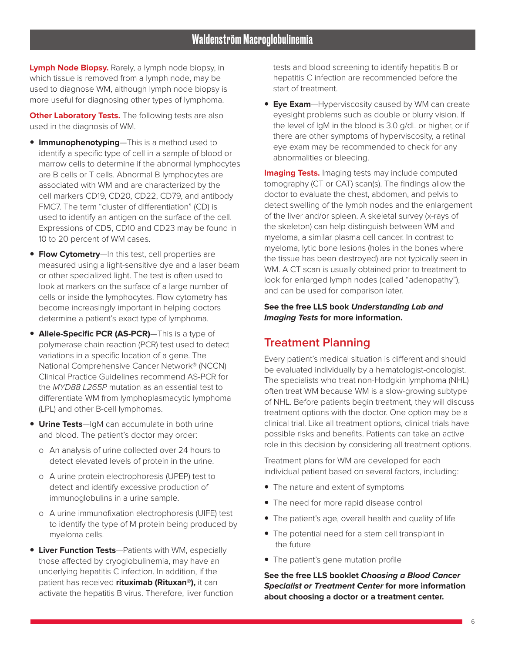**Lymph Node Biopsy.** Rarely, a lymph node biopsy, in which tissue is removed from a lymph node, may be used to diagnose WM, although lymph node biopsy is more useful for diagnosing other types of lymphoma.

**Other Laboratory Tests.** The following tests are also used in the diagnosis of WM.

- **Immunophenotyping**—This is a method used to identify a specific type of cell in a sample of blood or marrow cells to determine if the abnormal lymphocytes are B cells or T cells. Abnormal B lymphocytes are associated with WM and are characterized by the cell markers CD19, CD20, CD22, CD79, and antibody FMC7. The term "cluster of differentiation" (CD) is used to identify an antigen on the surface of the cell. Expressions of CD5, CD10 and CD23 may be found in 10 to 20 percent of WM cases.
- **Flow Cytometry**—In this test, cell properties are measured using a light-sensitive dye and a laser beam or other specialized light. The test is often used to look at markers on the surface of a large number of cells or inside the lymphocytes. Flow cytometry has become increasingly important in helping doctors determine a patient's exact type of lymphoma.
- **Allele-Specific PCR (AS-PCR)**—This is a type of polymerase chain reaction (PCR) test used to detect variations in a specific location of a gene. The National Comprehensive Cancer Network® (NCCN) Clinical Practice Guidelines recommend AS-PCR for the MYD88 L265P mutation as an essential test to differentiate WM from lymphoplasmacytic lymphoma (LPL) and other B-cell lymphomas.
- **Urine Tests**—IgM can accumulate in both urine and blood. The patient's doctor may order:
	- o An analysis of urine collected over 24 hours to detect elevated levels of protein in the urine.
	- o A urine protein electrophoresis (UPEP) test to detect and identify excessive production of immunoglobulins in a urine sample.
	- o A urine immunofixation electrophoresis (UIFE) test to identify the type of M protein being produced by myeloma cells.
- **Liver Function Tests**—Patients with WM, especially those affected by cryoglobulinemia, may have an underlying hepatitis C infection. In addition, if the patient has received **rituximab (Rituxan®),** it can activate the hepatitis B virus. Therefore, liver function

tests and blood screening to identify hepatitis B or hepatitis C infection are recommended before the start of treatment.

**Eye Exam**—Hyperviscosity caused by WM can create eyesight problems such as double or blurry vision. If the level of IgM in the blood is 3.0 g/dL or higher, or if there are other symptoms of hyperviscosity, a retinal eye exam may be recommended to check for any abnormalities or bleeding.

**Imaging Tests.** Imaging tests may include computed tomography (CT or CAT) scan(s). The findings allow the doctor to evaluate the chest, abdomen, and pelvis to detect swelling of the lymph nodes and the enlargement of the liver and/or spleen. A skeletal survey (x-rays of the skeleton) can help distinguish between WM and myeloma, a similar plasma cell cancer. In contrast to myeloma, lytic bone lesions (holes in the bones where the tissue has been destroyed) are not typically seen in WM. A CT scan is usually obtained prior to treatment to look for enlarged lymph nodes (called "adenopathy"), and can be used for comparison later.

#### **See the free LLS book Understanding Lab and Imaging Tests for more information.**

### **Treatment Planning**

Every patient's medical situation is different and should be evaluated individually by a hematologist-oncologist. The specialists who treat non-Hodgkin lymphoma (NHL) often treat WM because WM is a slow-growing subtype of NHL. Before patients begin treatment, they will discuss treatment options with the doctor. One option may be a clinical trial. Like all treatment options, clinical trials have possible risks and benefits. Patients can take an active role in this decision by considering all treatment options.

Treatment plans for WM are developed for each individual patient based on several factors, including:

- The nature and extent of symptoms
- The need for more rapid disease control
- The patient's age, overall health and quality of life
- The potential need for a stem cell transplant in the future
- The patient's gene mutation profile

**See the free LLS booklet Choosing a Blood Cancer Specialist or Treatment Center for more information about choosing a doctor or a treatment center.**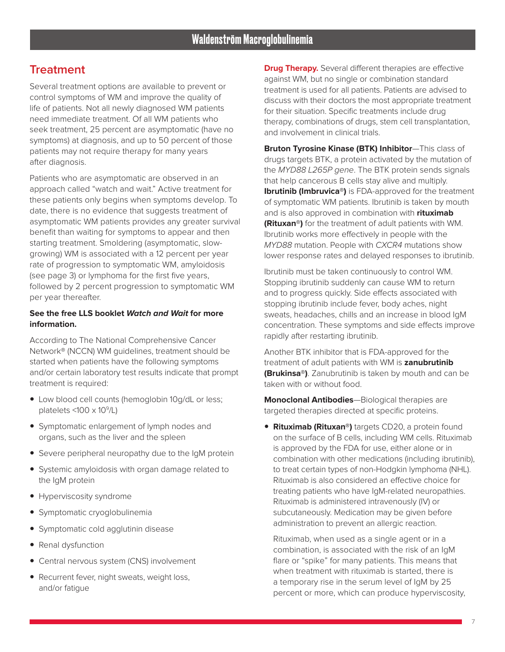### **Treatment**

Several treatment options are available to prevent or control symptoms of WM and improve the quality of life of patients. Not all newly diagnosed WM patients need immediate treatment. Of all WM patients who seek treatment, 25 percent are asymptomatic (have no symptoms) at diagnosis, and up to 50 percent of those patients may not require therapy for many years after diagnosis.

Patients who are asymptomatic are observed in an approach called "watch and wait." Active treatment for these patients only begins when symptoms develop. To date, there is no evidence that suggests treatment of asymptomatic WM patients provides any greater survival benefit than waiting for symptoms to appear and then starting treatment. Smoldering (asymptomatic, slowgrowing) WM is associated with a 12 percent per year rate of progression to symptomatic WM, amyloidosis (see page 3) or lymphoma for the first five years, followed by 2 percent progression to symptomatic WM per year thereafter.

#### **See the free LLS booklet Watch and Wait for more information.**

According to The National Comprehensive Cancer Network® (NCCN) WM guidelines, treatment should be started when patients have the following symptoms and/or certain laboratory test results indicate that prompt treatment is required:

- Low blood cell counts (hemoglobin 10g/dL or less; platelets  $\langle 100 \times 10^9 \rangle$ L)
- Symptomatic enlargement of lymph nodes and organs, such as the liver and the spleen
- Severe peripheral neuropathy due to the IgM protein
- Systemic amyloidosis with organ damage related to the IgM protein
- Hyperviscosity syndrome
- Symptomatic cryoglobulinemia
- Symptomatic cold agglutinin disease
- Renal dysfunction
- Central nervous system (CNS) involvement
- Recurrent fever, night sweats, weight loss, and/or fatigue

**Drug Therapy.** Several different therapies are effective against WM, but no single or combination standard treatment is used for all patients. Patients are advised to discuss with their doctors the most appropriate treatment for their situation. Specific treatments include drug therapy, combinations of drugs, stem cell transplantation, and involvement in clinical trials.

**Bruton Tyrosine Kinase (BTK) Inhibitor**—This class of drugs targets BTK, a protein activated by the mutation of the MYD88 L265P gene. The BTK protein sends signals that help cancerous B cells stay alive and multiply. **Ibrutinib (Imbruvica®)** is FDA-approved for the treatment of symptomatic WM patients. Ibrutinib is taken by mouth and is also approved in combination with **rituximab (Rituxan®)** for the treatment of adult patients with WM. Ibrutinib works more effectively in people with the MYD88 mutation. People with CXCR4 mutations show lower response rates and delayed responses to ibrutinib.

Ibrutinib must be taken continuously to control WM. Stopping ibrutinib suddenly can cause WM to return and to progress quickly. Side effects associated with stopping ibrutinib include fever, body aches, night sweats, headaches, chills and an increase in blood IgM concentration. These symptoms and side effects improve rapidly after restarting ibrutinib.

Another BTK inhibitor that is FDA-approved for the treatment of adult patients with WM is **zanubrutinib (Brukinsa®)**. Zanubrutinib is taken by mouth and can be taken with or without food.

**Monoclonal Antibodies**—Biological therapies are targeted therapies directed at specific proteins.

**• Rituximab (Rituxan®)** targets CD20, a protein found on the surface of B cells, including WM cells. Rituximab is approved by the FDA for use, either alone or in combination with other medications (including ibrutinib), to treat certain types of non-Hodgkin lymphoma (NHL). Rituximab is also considered an effective choice for treating patients who have IgM-related neuropathies. Rituximab is administered intravenously (IV) or subcutaneously. Medication may be given before administration to prevent an allergic reaction.

Rituximab, when used as a single agent or in a combination, is associated with the risk of an IgM flare or "spike" for many patients. This means that when treatment with rituximab is started, there is a temporary rise in the serum level of IgM by 25 percent or more, which can produce hyperviscosity,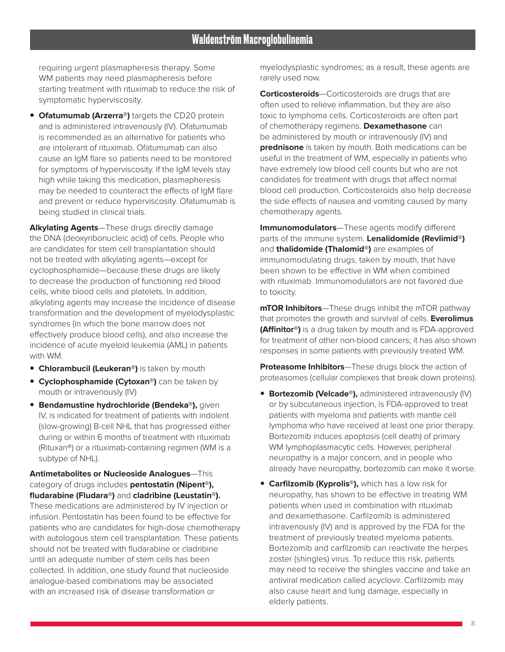requiring urgent plasmapheresis therapy. Some WM patients may need plasmapheresis before starting treatment with rituximab to reduce the risk of symptomatic hyperviscosity.

**• Ofatumumab (Arzerra®)** targets the CD20 protein and is administered intravenously (IV). Ofatumumab is recommended as an alternative for patients who are intolerant of rituximab. Ofatumumab can also cause an IgM flare so patients need to be monitored for symptoms of hyperviscosity. If the IgM levels stay high while taking this medication, plasmapheresis may be needed to counteract the effects of IgM flare and prevent or reduce hyperviscosity. Ofatumumab is being studied in clinical trials.

**Alkylating Agents**—These drugs directly damage the DNA (deoxyribonucleic acid) of cells. People who are candidates for stem cell transplantation should not be treated with alkylating agents—except for cyclophosphamide—because these drugs are likely to decrease the production of functioning red blood cells, white blood cells and platelets. In addition, alkylating agents may increase the incidence of disease transformation and the development of myelodysplastic syndromes (in which the bone marrow does not effectively produce blood cells), and also increase the incidence of acute myeloid leukemia (AML) in patients with WM.

- **Chlorambucil (Leukeran®)** is taken by mouth
- **Cyclophosphamide (Cytoxan®)** can be taken by mouth or intravenously (IV)
- **Bendamustine hydrochloride (Bendeka®),** given IV, is indicated for treatment of patients with indolent (slow-growing) B-cell NHL that has progressed either during or within 6 months of treatment with rituximab (Rituxan®) or a rituximab-containing regimen (WM is a subtype of NHL).

**Antimetabolites or Nucleoside Analogues**—This category of drugs includes **pentostatin (Nipent®), fludarabine (Fludara®)** and **cladribine (Leustatin®).**  These medications are administered by IV injection or infusion. Pentostatin has been found to be effective for patients who are candidates for high-dose chemotherapy with autologous stem cell transplantation. These patients should not be treated with fludarabine or cladribine until an adequate number of stem cells has been collected. In addition, one study found that nucleoside analogue-based combinations may be associated with an increased risk of disease transformation or

myelodysplastic syndromes; as a result, these agents are rarely used now.

**Corticosteroids**—Corticosteroids are drugs that are often used to relieve inflammation, but they are also toxic to lymphoma cells. Corticosteroids are often part of chemotherapy regimens. **Dexamethasone** can be administered by mouth or intravenously (IV) and **prednisone** is taken by mouth. Both medications can be useful in the treatment of WM, especially in patients who have extremely low blood cell counts but who are not candidates for treatment with drugs that affect normal blood cell production. Corticosteroids also help decrease the side effects of nausea and vomiting caused by many chemotherapy agents.

**Immunomodulators**—These agents modify different parts of the immune system. **Lenalidomide (Revlimid®)**  and **thalidomide (Thalomid®)** are examples of immunomodulating drugs, taken by mouth, that have been shown to be effective in WM when combined with rituximab. Immunomodulators are not favored due to toxicity.

**mTOR Inhibitors**—These drugs inhibit the mTOR pathway that promotes the growth and survival of cells. **Everolimus (Affinitor®)** is a drug taken by mouth and is FDA-approved for treatment of other non-blood cancers; it has also shown responses in some patients with previously treated WM.

**Proteasome Inhibitors**—These drugs block the action of proteasomes (cellular complexes that break down proteins).

- **Bortezomib (Velcade®),** administered intravenously (IV) or by subcutaneous injection, is FDA-approved to treat patients with myeloma and patients with mantle cell lymphoma who have received at least one prior therapy. Bortezomib induces apoptosis (cell death) of primary WM lymphoplasmacytic cells. However, peripheral neuropathy is a major concern, and in people who already have neuropathy, bortezomib can make it worse.
- **Carfilzomib (Kyprolis®),** which has a low risk for neuropathy, has shown to be effective in treating WM patients when used in combination with rituximab and dexamethasone. Carfilzomib is administered intravenously (IV) and is approved by the FDA for the treatment of previously treated myeloma patients. Bortezomib and carfilzomib can reactivate the herpes zoster (shingles) virus. To reduce this risk, patients may need to receive the shingles vaccine and take an antiviral medication called acyclovir. Carfilzomib may also cause heart and lung damage, especially in elderly patients.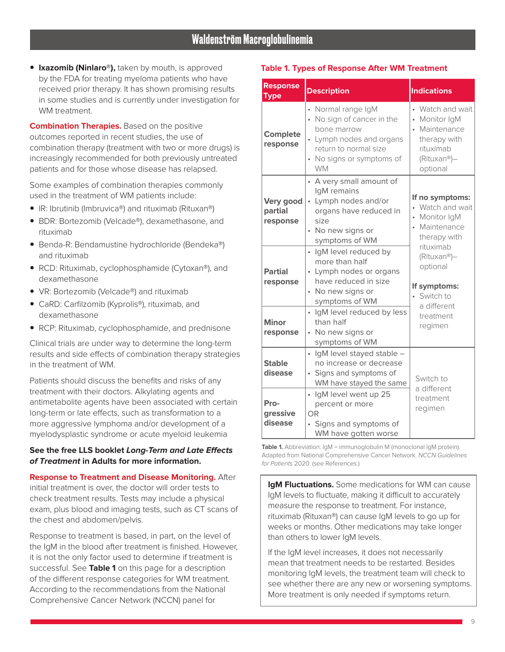**• Ixazomib (Ninlaro®),** taken by mouth, is approved by the FDA for treating myeloma patients who have received prior therapy. It has shown promising results in some studies and is currently under investigation for WM treatment.

**Combination Therapies.** Based on the positive outcomes reported in recent studies, the use of combination therapy (treatment with two or more drugs) is increasingly recommended for both previously untreated patients and for those whose disease has relapsed.

Some examples of combination therapies commonly used in the treatment of WM patients include:

- IR: Ibrutinib (Imbruvica®) and rituximab (Rituxan®)
- BDR: Bortezomib (Velcade®), dexamethasone, and rituximab
- Benda-R: Bendamustine hydrochloride (Bendeka®) and rituximab
- RCD: Rituximab, cyclophosphamide (Cytoxan®), and dexamethasone
- VR: Bortezomib (Velcade®) and rituximab
- CaRD: Carfilzomib (Kyprolis<sup>®</sup>), rituximab, and dexamethasone
- RCP: Rituximab, cyclophosphamide, and prednisone

Clinical trials are under way to determine the long-term results and side effects of combination therapy strategies in the treatment of WM.

Patients should discuss the benefits and risks of any treatment with their doctors. Alkylating agents and antimetabolite agents have been associated with certain long-term or late effects, such as transformation to a more aggressive lymphoma and/or development of a myelodysplastic syndrome or acute myeloid leukemia

#### **See the free LLS booklet Long-Term and Late Effects of Treatment in Adults for more information.**

**Response to Treatment and Disease Monitoring.** After initial treatment is over, the doctor will order tests to check treatment results. Tests may include a physical exam, plus blood and imaging tests, such as CT scans of the chest and abdomen/pelvis.

Response to treatment is based, in part, on the level of the IgM in the blood after treatment is finished. However, it is not the only factor used to determine if treatment is successful. See **Table 1** on this page for a description of the different response categories for WM treatment. According to the recommendations from the National Comprehensive Cancer Network (NCCN) panel for

#### **Table 1. Types of Response After WM Treatment**

| <b>Response</b><br><b>Type</b>   | <b>Description</b>                                                                                                                                                                   | <b>Indications</b>                                                                                         |
|----------------------------------|--------------------------------------------------------------------------------------------------------------------------------------------------------------------------------------|------------------------------------------------------------------------------------------------------------|
| <b>Complete</b><br>response      | • Normal range IgM<br>No sign of cancer in the<br>$\bullet$<br>bone marrow<br>• Lymph nodes and organs<br>return to normal size<br>No signs or symptoms of<br>$\bullet$<br><b>WM</b> | • Watch and wait<br>• Monitor IgM<br>• Maintenance<br>therapy with<br>rituximab<br>(Rituxan®)-<br>optional |
| Very good<br>partial<br>response | • A very small amount of<br>IgM remains<br>Lymph nodes and/or<br>$\bullet$<br>organs have reduced in<br>size<br>• No new signs or<br>symptoms of WM                                  | If no symptoms:<br>• Watch and wait<br>• Monitor IgM<br>• Maintenance<br>therapy with<br>rituximab         |
| <b>Partial</b><br>response       | · IgM level reduced by<br>more than half<br>• Lymph nodes or organs<br>have reduced in size<br>• No new signs or<br>symptoms of WM                                                   | (Rituxan®)-<br>optional<br>If symptoms:<br>Switch to<br>a different                                        |
| <b>Minor</b><br>response         | · IgM level reduced by less<br>than half<br>• No new signs or<br>symptoms of WM                                                                                                      | treatment<br>regimen                                                                                       |
| <b>Stable</b><br>disease         | IgM level stayed stable -<br>$\bullet$<br>no increase or decrease<br>Signs and symptoms of<br>$\bullet$<br>WM have stayed the same                                                   | Switch to<br>a different                                                                                   |
| Pro-<br>gressive<br>disease      | · IgM level went up 25<br>percent or more<br><b>OR</b><br>Signs and symptoms of<br>WM have gotten worse                                                                              | treatment<br>regimen                                                                                       |

Table 1. Abbreviation: IgM = immunoglobulin M (monoclonal IgM protein). Adapted from National Comprehensive Cancer Network. NCCN Guidelines for Patients 2020. (see References.)

**IgM Fluctuations.** Some medications for WM can cause IgM levels to fluctuate, making it difficult to accurately measure the response to treatment. For instance, rituximab (Rituxan®) can cause IgM levels to go up for weeks or months. Other medications may take longer than others to lower IgM levels.

If the IgM level increases, it does not necessarily mean that treatment needs to be restarted. Besides monitoring IgM levels, the treatment team will check to see whether there are any new or worsening symptoms. More treatment is only needed if symptoms return.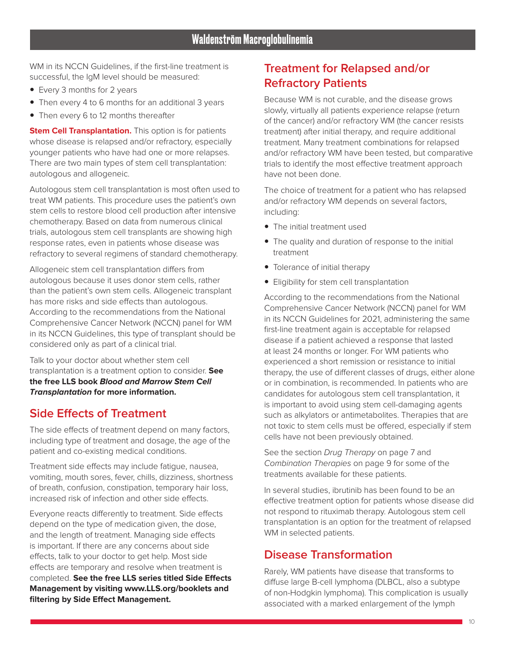WM in its NCCN Guidelines, if the first-line treatment is successful, the IgM level should be measured:

- Every 3 months for 2 years
- Then every 4 to 6 months for an additional 3 years
- Then every 6 to 12 months thereafter

**Stem Cell Transplantation.** This option is for patients whose disease is relapsed and/or refractory, especially younger patients who have had one or more relapses. There are two main types of stem cell transplantation: autologous and allogeneic.

Autologous stem cell transplantation is most often used to treat WM patients. This procedure uses the patient's own stem cells to restore blood cell production after intensive chemotherapy. Based on data from numerous clinical trials, autologous stem cell transplants are showing high response rates, even in patients whose disease was refractory to several regimens of standard chemotherapy.

Allogeneic stem cell transplantation differs from autologous because it uses donor stem cells, rather than the patient's own stem cells. Allogeneic transplant has more risks and side effects than autologous. According to the recommendations from the National Comprehensive Cancer Network (NCCN) panel for WM in its NCCN Guidelines, this type of transplant should be considered only as part of a clinical trial.

Talk to your doctor about whether stem cell transplantation is a treatment option to consider. **See the free LLS book Blood and Marrow Stem Cell Transplantation for more information.**

# **Side Effects of Treatment**

The side effects of treatment depend on many factors, including type of treatment and dosage, the age of the patient and co-existing medical conditions.

Treatment side effects may include fatigue, nausea, vomiting, mouth sores, fever, chills, dizziness, shortness of breath, confusion, constipation, temporary hair loss, increased risk of infection and other side effects.

Everyone reacts differently to treatment. Side effects depend on the type of medication given, the dose, and the length of treatment. Managing side effects is important. If there are any concerns about side effects, talk to your doctor to get help. Most side effects are temporary and resolve when treatment is completed. **See the free LLS series titled Side Effects Management by visiting www.LLS.org/booklets and filtering by Side Effect Management.**

### **Treatment for Relapsed and/or Refractory Patients**

Because WM is not curable, and the disease grows slowly, virtually all patients experience relapse (return of the cancer) and/or refractory WM (the cancer resists treatment) after initial therapy, and require additional treatment. Many treatment combinations for relapsed and/or refractory WM have been tested, but comparative trials to identify the most effective treatment approach have not been done.

The choice of treatment for a patient who has relapsed and/or refractory WM depends on several factors, including:

- The initial treatment used
- The quality and duration of response to the initial treatment
- Tolerance of initial therapy
- Eligibility for stem cell transplantation

According to the recommendations from the National Comprehensive Cancer Network (NCCN) panel for WM in its NCCN Guidelines for 2021, administering the same first-line treatment again is acceptable for relapsed disease if a patient achieved a response that lasted at least 24 months or longer. For WM patients who experienced a short remission or resistance to initial therapy, the use of different classes of drugs, either alone or in combination, is recommended. In patients who are candidates for autologous stem cell transplantation, it is important to avoid using stem cell-damaging agents such as alkylators or antimetabolites. Therapies that are not toxic to stem cells must be offered, especially if stem cells have not been previously obtained.

See the section Drug Therapy on page 7 and Combination Therapies on page 9 for some of the treatments available for these patients.

In several studies, ibrutinib has been found to be an effective treatment option for patients whose disease did not respond to rituximab therapy. Autologous stem cell transplantation is an option for the treatment of relapsed WM in selected patients.

### **Disease Transformation**

Rarely, WM patients have disease that transforms to diffuse large B-cell lymphoma (DLBCL, also a subtype of non-Hodgkin lymphoma). This complication is usually associated with a marked enlargement of the lymph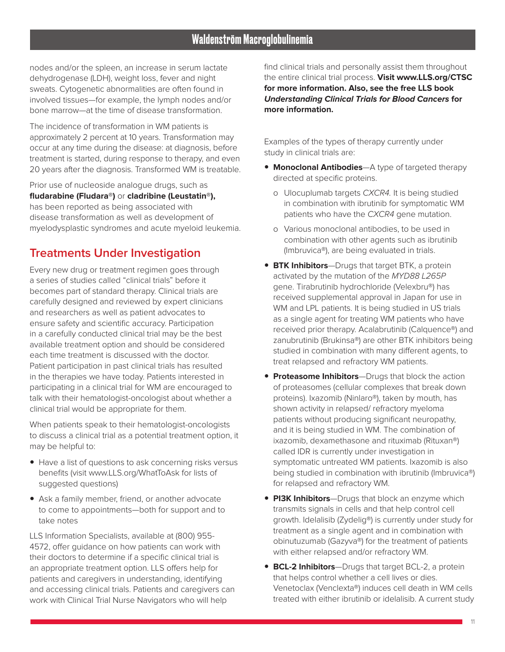nodes and/or the spleen, an increase in serum lactate dehydrogenase (LDH), weight loss, fever and night sweats. Cytogenetic abnormalities are often found in involved tissues—for example, the lymph nodes and/or bone marrow—at the time of disease transformation.

The incidence of transformation in WM patients is approximately 2 percent at 10 years. Transformation may occur at any time during the disease: at diagnosis, before treatment is started, during response to therapy, and even 20 years after the diagnosis. Transformed WM is treatable.

Prior use of nucleoside analogue drugs, such as **fludarabine (Fludara®)** or **cladribine (Leustatin®),** has been reported as being associated with disease transformation as well as development of myelodysplastic syndromes and acute myeloid leukemia.

### **Treatments Under Investigation**

Every new drug or treatment regimen goes through a series of studies called "clinical trials" before it becomes part of standard therapy. Clinical trials are carefully designed and reviewed by expert clinicians and researchers as well as patient advocates to ensure safety and scientific accuracy. Participation in a carefully conducted clinical trial may be the best available treatment option and should be considered each time treatment is discussed with the doctor. Patient participation in past clinical trials has resulted in the therapies we have today. Patients interested in participating in a clinical trial for WM are encouraged to talk with their hematologist-oncologist about whether a clinical trial would be appropriate for them.

When patients speak to their hematologist-oncologists to discuss a clinical trial as a potential treatment option, it may be helpful to:

- Have a list of questions to ask concerning risks versus benefits (visit www.LLS.org/WhatToAsk for lists of suggested questions)
- Ask a family member, friend, or another advocate to come to appointments—both for support and to take notes

LLS Information Specialists, available at (800) 955- 4572, offer guidance on how patients can work with their doctors to determine if a specific clinical trial is an appropriate treatment option. LLS offers help for patients and caregivers in understanding, identifying and accessing clinical trials. Patients and caregivers can work with Clinical Trial Nurse Navigators who will help

find clinical trials and personally assist them throughout the entire clinical trial process. **Visit www.LLS.org/CTSC for more information. Also, see the free LLS book Understanding Clinical Trials for Blood Cancers for more information.**

Examples of the types of therapy currently under study in clinical trials are:

- **Monoclonal Antibodies**—A type of targeted therapy directed at specific proteins.
	- o Ulocuplumab targets CXCR4. It is being studied in combination with ibrutinib for symptomatic WM patients who have the CXCR4 gene mutation.
	- o Various monoclonal antibodies, to be used in combination with other agents such as ibrutinib (Imbruvica®), are being evaluated in trials.
- **BTK Inhibitors**—Drugs that target BTK, a protein activated by the mutation of the MYD88 L265P gene. Tirabrutinib hydrochloride (Velexbru®) has received supplemental approval in Japan for use in WM and LPL patients. It is being studied in US trials as a single agent for treating WM patients who have received prior therapy. Acalabrutinib (Calquence®) and zanubrutinib (Brukinsa®) are other BTK inhibitors being studied in combination with many different agents, to treat relapsed and refractory WM patients.
- **Proteasome Inhibitors**—Drugs that block the action of proteasomes (cellular complexes that break down proteins). Ixazomib (Ninlaro®), taken by mouth, has shown activity in relapsed/ refractory myeloma patients without producing significant neuropathy, and it is being studied in WM. The combination of ixazomib, dexamethasone and rituximab (Rituxan®) called IDR is currently under investigation in symptomatic untreated WM patients. Ixazomib is also being studied in combination with ibrutinib (Imbruvica®) for relapsed and refractory WM.
- **PI3K Inhibitors**—Drugs that block an enzyme which transmits signals in cells and that help control cell growth. Idelalisib (Zydelig®) is currently under study for treatment as a single agent and in combination with obinutuzumab (Gazyva®) for the treatment of patients with either relapsed and/or refractory WM.
- **BCL-2 Inhibitors**—Drugs that target BCL-2, a protein that helps control whether a cell lives or dies. Venetoclax (Venclexta®) induces cell death in WM cells treated with either ibrutinib or idelalisib. A current study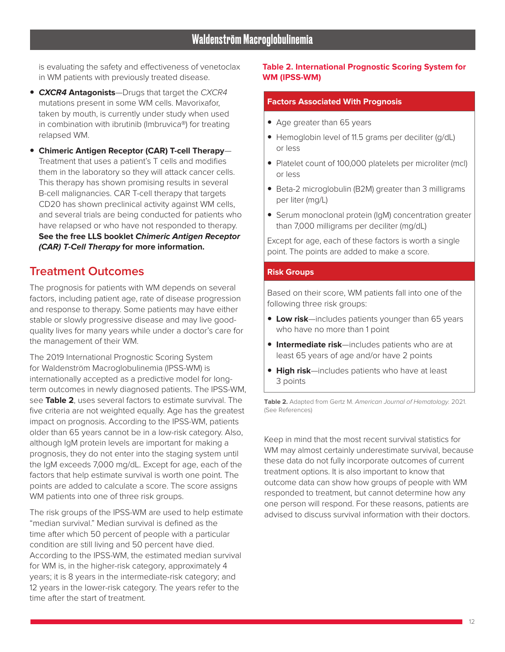is evaluating the safety and effectiveness of venetoclax in WM patients with previously treated disease.

- **CXCR4 Antagonists**—Drugs that target the CXCR4 mutations present in some WM cells. Mavorixafor, taken by mouth, is currently under study when used in combination with ibrutinib (Imbruvica®) for treating relapsed WM.
- **Chimeric Antigen Receptor (CAR) T-cell Therapy** Treatment that uses a patient's T cells and modifies them in the laboratory so they will attack cancer cells. This therapy has shown promising results in several B-cell malignancies. CAR T-cell therapy that targets CD20 has shown preclinical activity against WM cells, and several trials are being conducted for patients who have relapsed or who have not responded to therapy. **See the free LLS booklet Chimeric Antigen Receptor (CAR) T-Cell Therapy for more information.**

### **Treatment Outcomes**

The prognosis for patients with WM depends on several factors, including patient age, rate of disease progression and response to therapy. Some patients may have either stable or slowly progressive disease and may live goodquality lives for many years while under a doctor's care for the management of their WM.

The 2019 International Prognostic Scoring System for Waldenström Macroglobulinemia (IPSS-WM) is internationally accepted as a predictive model for longterm outcomes in newly diagnosed patients. The IPSS-WM, see **Table 2**, uses several factors to estimate survival. The five criteria are not weighted equally. Age has the greatest impact on prognosis. According to the IPSS-WM, patients older than 65 years cannot be in a low-risk category. Also, although IgM protein levels are important for making a prognosis, they do not enter into the staging system until the IgM exceeds 7,000 mg/dL. Except for age, each of the factors that help estimate survival is worth one point. The points are added to calculate a score. The score assigns WM patients into one of three risk groups.

The risk groups of the IPSS-WM are used to help estimate "median survival." Median survival is defined as the time after which 50 percent of people with a particular condition are still living and 50 percent have died. According to the IPSS-WM, the estimated median survival for WM is, in the higher-risk category, approximately 4 years; it is 8 years in the intermediate-risk category; and 12 years in the lower-risk category. The years refer to the time after the start of treatment.

#### **Table 2. International Prognostic Scoring System for WM (IPSS-WM)**

#### **Factors Associated With Prognosis**

- Age greater than 65 years
- Hemoglobin level of 11.5 grams per deciliter (g/dL) or less
- Platelet count of 100,000 platelets per microliter (mcl) or less
- Beta-2 microglobulin (B2M) greater than 3 milligrams per liter (mg/L)
- Serum monoclonal protein (IgM) concentration greater than 7,000 milligrams per deciliter (mg/dL)

Except for age, each of these factors is worth a single point. The points are added to make a score.

#### **Risk Groups**

Based on their score, WM patients fall into one of the following three risk groups:

- **Low risk**—includes patients younger than 65 years who have no more than 1 point
- **Intermediate risk**—includes patients who are at least 65 years of age and/or have 2 points
- **High risk**—includes patients who have at least 3 points

**Table 2.** Adapted from Gertz M. American Journal of Hematology. 2021. (See References)

Keep in mind that the most recent survival statistics for WM may almost certainly underestimate survival, because these data do not fully incorporate outcomes of current treatment options. It is also important to know that outcome data can show how groups of people with WM responded to treatment, but cannot determine how any one person will respond. For these reasons, patients are advised to discuss survival information with their doctors.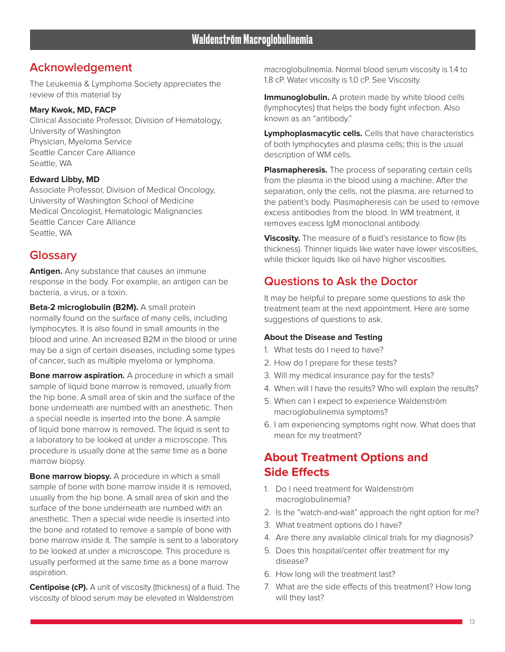# **Acknowledgement**

The Leukemia & Lymphoma Society appreciates the review of this material by

#### **Mary Kwok, MD, FACP**

Clinical Associate Professor, Division of Hematology, University of Washington Physician, Myeloma Service Seattle Cancer Care Alliance Seattle, WA

#### **Edward Libby, MD**

Associate Professor, Division of Medical Oncology, University of Washington School of Medicine Medical Oncologist, Hematologic Malignancies Seattle Cancer Care Alliance Seattle, WA

### **Glossary**

**Antigen.** Any substance that causes an immune response in the body. For example, an antigen can be bacteria, a virus, or a toxin.

**Beta-2 microglobulin (B2M).** A small protein normally found on the surface of many cells, including lymphocytes. It is also found in small amounts in the blood and urine. An increased B2M in the blood or urine may be a sign of certain diseases, including some types of cancer, such as multiple myeloma or lymphoma.

**Bone marrow aspiration.** A procedure in which a small sample of liquid bone marrow is removed, usually from the hip bone. A small area of skin and the surface of the bone underneath are numbed with an anesthetic. Then a special needle is inserted into the bone. A sample of liquid bone marrow is removed. The liquid is sent to a laboratory to be looked at under a microscope. This procedure is usually done at the same time as a bone marrow biopsy.

**Bone marrow biopsy.** A procedure in which a small sample of bone with bone marrow inside it is removed, usually from the hip bone. A small area of skin and the surface of the bone underneath are numbed with an anesthetic. Then a special wide needle is inserted into the bone and rotated to remove a sample of bone with bone marrow inside it. The sample is sent to a laboratory to be looked at under a microscope. This procedure is usually performed at the same time as a bone marrow aspiration.

**Centipoise (cP).** A unit of viscosity (thickness) of a fluid. The viscosity of blood serum may be elevated in Waldenström

macroglobulinemia. Normal blood serum viscosity is 1.4 to 1.8 cP. Water viscosity is 1.0 cP. See Viscosity.

**Immunoglobulin.** A protein made by white blood cells (lymphocytes) that helps the body fight infection. Also known as an "antibody."

**Lymphoplasmacytic cells.** Cells that have characteristics of both lymphocytes and plasma cells; this is the usual description of WM cells.

**Plasmapheresis.** The process of separating certain cells from the plasma in the blood using a machine. After the separation, only the cells, not the plasma, are returned to the patient's body. Plasmapheresis can be used to remove excess antibodies from the blood. In WM treatment, it removes excess IgM monoclonal antibody.

**Viscosity.** The measure of a fluid's resistance to flow (its thickness). Thinner liquids like water have lower viscosities, while thicker liquids like oil have higher viscosities.

# **Questions to Ask the Doctor**

It may be helpful to prepare some questions to ask the treatment team at the next appointment. Here are some suggestions of questions to ask.

#### **About the Disease and Testing**

- 1. What tests do I need to have?
- 2. How do I prepare for these tests?
- 3. Will my medical insurance pay for the tests?
- 4. When will I have the results? Who will explain the results?
- 5. When can I expect to experience Waldenström macroglobulinemia symptoms?
- 6. I am experiencing symptoms right now. What does that mean for my treatment?

# **About Treatment Options and Side Effects**

- 1. Do I need treatment for Waldenström macroglobulinemia?
- 2. Is the "watch-and-wait" approach the right option for me?
- 3. What treatment options do I have?
- 4. Are there any available clinical trials for my diagnosis?
- 5. Does this hospital/center offer treatment for my disease?
- 6. How long will the treatment last?
- 7. What are the side effects of this treatment? How long will they last?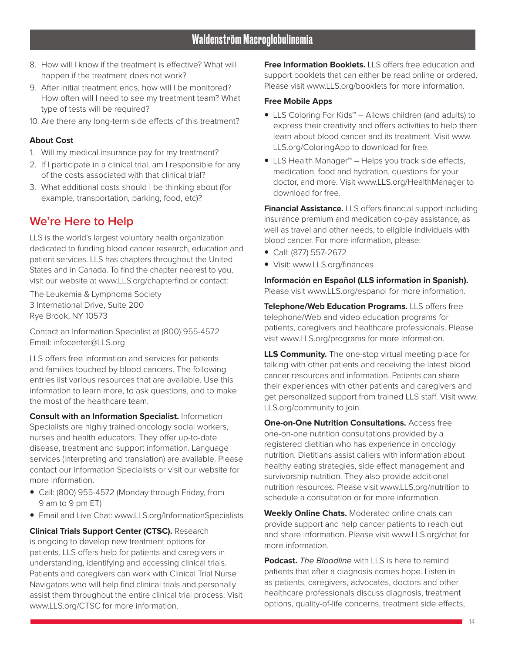- 8. How will I know if the treatment is effective? What will happen if the treatment does not work?
- 9. After initial treatment ends, how will I be monitored? How often will I need to see my treatment team? What type of tests will be required?
- 10. Are there any long-term side effects of this treatment?

#### **About Cost**

- 1. Will my medical insurance pay for my treatment?
- 2. If I participate in a clinical trial, am I responsible for any of the costs associated with that clinical trial?
- 3. What additional costs should I be thinking about (for example, transportation, parking, food, etc)?

# **We're Here to Help**

LLS is the world's largest voluntary health organization dedicated to funding blood cancer research, education and patient services. LLS has chapters throughout the United States and in Canada. To find the chapter nearest to you, visit our website at www.LLS.org/chapterfind or contact:

The Leukemia & Lymphoma Society 3 International Drive, Suite 200 Rye Brook, NY 10573

Contact an Information Specialist at (800) 955-4572 Email: infocenter@LLS.org

LLS offers free information and services for patients and families touched by blood cancers. The following entries list various resources that are available. Use this information to learn more, to ask questions, and to make the most of the healthcare team.

**Consult with an Information Specialist.** Information Specialists are highly trained oncology social workers, nurses and health educators. They offer up-to-date disease, treatment and support information. Language services (interpreting and translation) are available. Please contact our Information Specialists or visit our website for more information.

- Call: (800) 955-4572 (Monday through Friday, from 9 am to 9 pm ET)
- Email and Live Chat: www.LLS.org/InformationSpecialists

**Clinical Trials Support Center (CTSC).** Research is ongoing to develop new treatment options for patients. LLS offers help for patients and caregivers in understanding, identifying and accessing clinical trials. Patients and caregivers can work with Clinical Trial Nurse Navigators who will help find clinical trials and personally assist them throughout the entire clinical trial process. Visit www.LLS.org/CTSC for more information.

**Free Information Booklets.** LLS offers free education and support booklets that can either be read online or ordered. Please visit www.LLS.org/booklets for more information.

#### **Free Mobile Apps**

- LLS Coloring For Kids™ Allows children (and adults) to express their creativity and offers activities to help them learn about blood cancer and its treatment. Visit www. LLS.org/ColoringApp to download for free.
- LLS Health Manager™ Helps you track side effects, medication, food and hydration, questions for your doctor, and more. Visit www.LLS.org/HealthManager to download for free.

**Financial Assistance.** LLS offers financial support including insurance premium and medication co-pay assistance, as well as travel and other needs, to eligible individuals with blood cancer. For more information, please:

- y Call: (877) 557-2672
- Visit: www.LLS.org/finances

**Información en Español (LLS information in Spanish).**  Please visit www.LLS.org/espanol for more information.

**Telephone/Web Education Programs.** LLS offers free telephone/Web and video education programs for patients, caregivers and healthcare professionals. Please visit www.LLS.org/programs for more information.

**LLS Community.** The one-stop virtual meeting place for talking with other patients and receiving the latest blood cancer resources and information. Patients can share their experiences with other patients and caregivers and get personalized support from trained LLS staff. Visit www. LLS.org/community to join.

**One-on-One Nutrition Consultations.** Access free one-on-one nutrition consultations provided by a registered dietitian who has experience in oncology nutrition. Dietitians assist callers with information about healthy eating strategies, side effect management and survivorship nutrition. They also provide additional nutrition resources. Please visit www.LLS.org/nutrition to schedule a consultation or for more information.

**Weekly Online Chats.** Moderated online chats can provide support and help cancer patients to reach out and share information. Please visit www.LLS.org/chat for more information.

**Podcast.** The Bloodline with LLS is here to remind patients that after a diagnosis comes hope. Listen in as patients, caregivers, advocates, doctors and other healthcare professionals discuss diagnosis, treatment options, quality-of-life concerns, treatment side effects,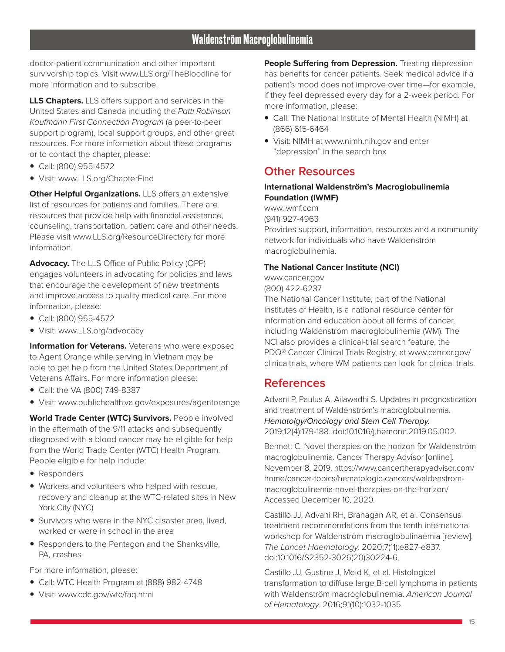doctor-patient communication and other important survivorship topics. Visit www.LLS.org/TheBloodline for more information and to subscribe.

**LLS Chapters.** LLS offers support and services in the United States and Canada including the Patti Robinson Kaufmann First Connection Program (a peer-to-peer support program), local support groups, and other great resources. For more information about these programs or to contact the chapter, please:

- y Call: (800) 955-4572
- Visit: www.LLS.org/ChapterFind

**Other Helpful Organizations.** LLS offers an extensive list of resources for patients and families. There are resources that provide help with financial assistance, counseling, transportation, patient care and other needs. Please visit www.LLS.org/ResourceDirectory for more information.

**Advocacy.** The LLS Office of Public Policy (OPP) engages volunteers in advocating for policies and laws that encourage the development of new treatments and improve access to quality medical care. For more information, please:

- y Call: (800) 955-4572
- Visit: www.LLS.org/advocacy

**Information for Veterans.** Veterans who were exposed to Agent Orange while serving in Vietnam may be able to get help from the United States Department of Veterans Affairs. For more information please:

- Call: the VA (800) 749-8387
- Visit: www.publichealth.va.gov/exposures/agentorange

**World Trade Center (WTC) Survivors.** People involved in the aftermath of the 9/11 attacks and subsequently diagnosed with a blood cancer may be eligible for help from the World Trade Center (WTC) Health Program. People eligible for help include:

- Responders
- Workers and volunteers who helped with rescue, recovery and cleanup at the WTC-related sites in New York City (NYC)
- Survivors who were in the NYC disaster area, lived, worked or were in school in the area
- Responders to the Pentagon and the Shanksville, PA, crashes

For more information, please:

- Call: WTC Health Program at (888) 982-4748
- Visit: www.cdc.gov/wtc/faq.html

**People Suffering from Depression.** Treating depression has benefits for cancer patients. Seek medical advice if a patient's mood does not improve over time—for example, if they feel depressed every day for a 2-week period. For more information, please:

- Call: The National Institute of Mental Health (NIMH) at (866) 615-6464
- Visit: NIMH at www.nimh.nih.gov and enter "depression" in the search box

### **Other Resources**

#### **International Waldenström's Macroglobulinemia Foundation (IWMF)**

www.iwmf.com

(941) 927-4963

Provides support, information, resources and a community network for individuals who have Waldenström macroglobulinemia.

#### **The National Cancer Institute (NCI)**

www.cancer.gov (800) 422-6237

The National Cancer Institute, part of the National Institutes of Health, is a national resource center for information and education about all forms of cancer, including Waldenström macroglobulinemia (WM). The NCI also provides a clinical-trial search feature, the PDQ® Cancer Clinical Trials Registry, at www.cancer.gov/ clinicaltrials, where WM patients can look for clinical trials.

### **References**

Advani P, Paulus A, Ailawadhi S. Updates in prognostication and treatment of Waldenström's macroglobulinemia. Hematolgy/Oncology and Stem Cell Therapy. 2019;12(4):179-188. doi:10.1016/j.hemonc.2019.05.002.

Bennett C. Novel therapies on the horizon for Waldenström macroglobulinemia. Cancer Therapy Advisor [online]. November 8, 2019. https://www.cancertherapyadvisor.com/ home/cancer-topics/hematologic-cancers/waldenstrommacroglobulinemia-novel-therapies-on-the-horizon/ Accessed December 10, 2020.

Castillo JJ, Advani RH, Branagan AR, et al. Consensus treatment recommendations from the tenth international workshop for Waldenström macroglobulinaemia [review]. The Lancet Haematology. 2020;7(11):e827-e837. doi:10.1016/S2352-3026(20)30224-6.

Castillo JJ, Gustine J, Meid K, et al. Histological transformation to diffuse large B-cell lymphoma in patients with Waldenström macroglobulinemia. American Journal of Hematology. 2016;91(10):1032-1035.